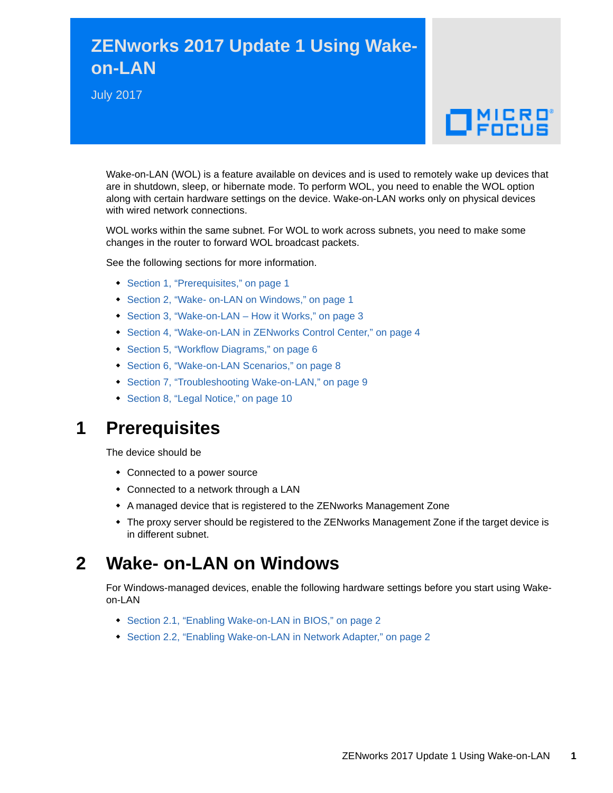# **ZENworks 2017 Update 1 Using Wakeon-LAN**

July 2017



Wake-on-LAN (WOL) is a feature available on devices and is used to remotely wake up devices that are in shutdown, sleep, or hibernate mode. To perform WOL, you need to enable the WOL option along with certain hardware settings on the device. Wake-on-LAN works only on physical devices with wired network connections.

WOL works within the same subnet. For WOL to work across subnets, you need to make some changes in the router to forward WOL broadcast packets.

See the following sections for more information.

- [Section 1, "Prerequisites," on page 1](#page-0-0)
- [Section 2, "Wake- on-LAN on Windows," on page 1](#page-0-1)
- ◆ [Section 3, "Wake-on-LAN How it Works," on page 3](#page-2-0)
- [Section 4, "Wake-on-LAN in ZENworks Control Center," on page 4](#page-3-0)
- [Section 5, "Workflow Diagrams," on page 6](#page-5-0)
- [Section 6, "Wake-on-LAN Scenarios," on page 8](#page-7-0)
- [Section 7, "Troubleshooting Wake-on-LAN," on page 9](#page-8-0)
- [Section 8, "Legal Notice," on page 10](#page-9-0)

## <span id="page-0-0"></span>**1 Prerequisites**

The device should be

- Connected to a power source
- Connected to a network through a LAN
- A managed device that is registered to the ZENworks Management Zone
- The proxy server should be registered to the ZENworks Management Zone if the target device is in different subnet.

## <span id="page-0-1"></span>**2 Wake- on-LAN on Windows**

For Windows-managed devices, enable the following hardware settings before you start using Wakeon-LAN

- ◆ [Section 2.1, "Enabling Wake-on-LAN in BIOS," on page 2](#page-1-0)
- ◆ [Section 2.2, "Enabling Wake-on-LAN in Network Adapter," on page 2](#page-1-1)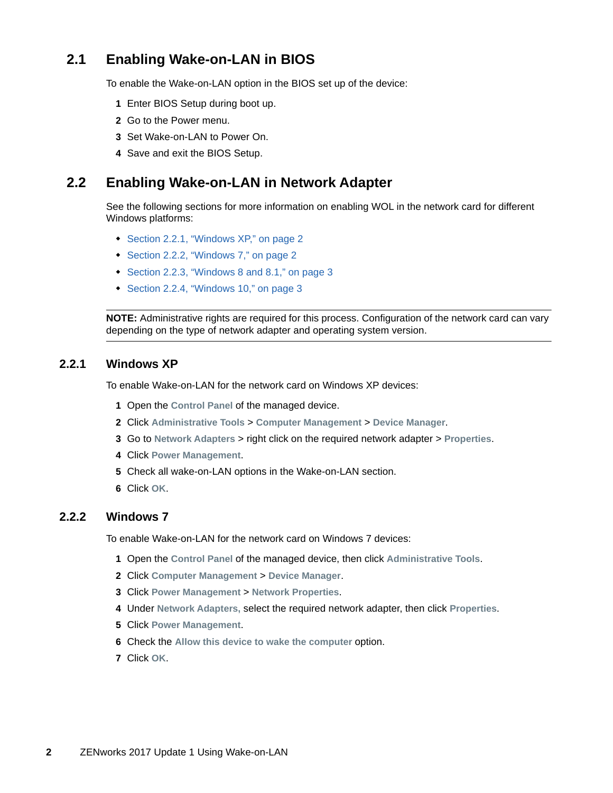## <span id="page-1-0"></span>**2.1 Enabling Wake-on-LAN in BIOS**

To enable the Wake-on-LAN option in the BIOS set up of the device:

- **1** Enter BIOS Setup during boot up.
- **2** Go to the Power menu.
- **3** Set Wake-on-LAN to Power On.
- **4** Save and exit the BIOS Setup.

#### <span id="page-1-1"></span>**2.2 Enabling Wake-on-LAN in Network Adapter**

See the following sections for more information on enabling WOL in the network card for different Windows platforms:

- [Section 2.2.1, "Windows XP," on page 2](#page-1-2)
- ◆ [Section 2.2.2, "Windows 7," on page 2](#page-1-3)
- [Section 2.2.3, "Windows 8 and 8.1," on page 3](#page-2-1)
- [Section 2.2.4, "Windows 10," on page 3](#page-2-2)

**NOTE:** Administrative rights are required for this process. Configuration of the network card can vary depending on the type of network adapter and operating system version.

#### <span id="page-1-2"></span>**2.2.1 Windows XP**

To enable Wake-on-LAN for the network card on Windows XP devices:

- **1** Open the **Control Panel** of the managed device.
- **2** Click **Administrative Tools** > **Computer Management** > **Device Manager**.
- **3** Go to **Network Adapters** > right click on the required network adapter > **Properties**.
- **4** Click **Power Management**.
- **5** Check all wake-on-LAN options in the Wake-on-LAN section.
- **6** Click **OK**.

#### <span id="page-1-3"></span>**2.2.2 Windows 7**

To enable Wake-on-LAN for the network card on Windows 7 devices:

- **1** Open the **Control Panel** of the managed device, then click **Administrative Tools**.
- **2** Click **Computer Management** > **Device Manager**.
- **3** Click **Power Management** > **Network Properties**.
- **4** Under **Network Adapters,** select the required network adapter, then click **Properties**.
- **5** Click **Power Management**.
- **6** Check the Allow this device to wake the computer option.
- **7** Click **OK**.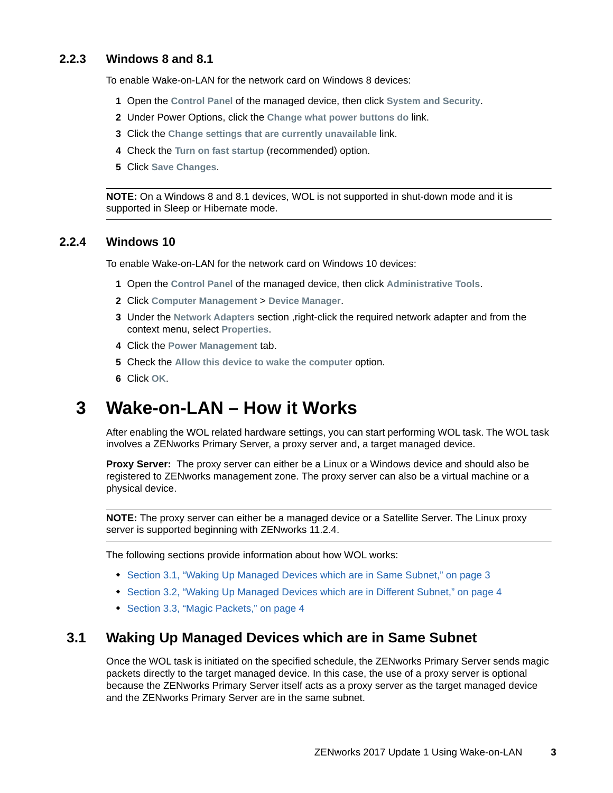#### <span id="page-2-1"></span>**2.2.3 Windows 8 and 8.1**

To enable Wake-on-LAN for the network card on Windows 8 devices:

- **1** Open the **Control Panel** of the managed device, then click **System and Security**.
- **2** Under Power Options, click the **Change what power buttons do** link.
- **3** Click the **Change settings that are currently unavailable** link.
- **4** Check the **Turn on fast startup** (recommended) option.
- **5** Click **Save Changes**.

**NOTE:** On a Windows 8 and 8.1 devices, WOL is not supported in shut-down mode and it is supported in Sleep or Hibernate mode.

#### <span id="page-2-2"></span>**2.2.4 Windows 10**

To enable Wake-on-LAN for the network card on Windows 10 devices:

- **1** Open the **Control Panel** of the managed device, then click **Administrative Tools**.
- **2** Click **Computer Management** > **Device Manager**.
- **3** Under the **Network Adapters** section ,right-click the required network adapter and from the context menu, select **Properties**.
- **4** Click the **Power Management** tab.
- **5** Check the **Allow this device to wake the computer** option.
- **6** Click **OK**.

## <span id="page-2-0"></span>**3 Wake-on-LAN – How it Works**

After enabling the WOL related hardware settings, you can start performing WOL task. The WOL task involves a ZENworks Primary Server, a proxy server and, a target managed device.

**Proxy Server:** The proxy server can either be a Linux or a Windows device and should also be registered to ZENworks management zone. The proxy server can also be a virtual machine or a physical device.

**NOTE:** The proxy server can either be a managed device or a Satellite Server. The Linux proxy server is supported beginning with ZENworks 11.2.4.

The following sections provide information about how WOL works:

- [Section 3.1, "Waking Up Managed Devices which are in Same Subnet," on page 3](#page-2-3)
- [Section 3.2, "Waking Up Managed Devices which are in Different Subnet," on page 4](#page-3-1)
- [Section 3.3, "Magic Packets," on page 4](#page-3-2)

#### <span id="page-2-3"></span>**3.1 Waking Up Managed Devices which are in Same Subnet**

Once the WOL task is initiated on the specified schedule, the ZENworks Primary Server sends magic packets directly to the target managed device. In this case, the use of a proxy server is optional because the ZENworks Primary Server itself acts as a proxy server as the target managed device and the ZENworks Primary Server are in the same subnet.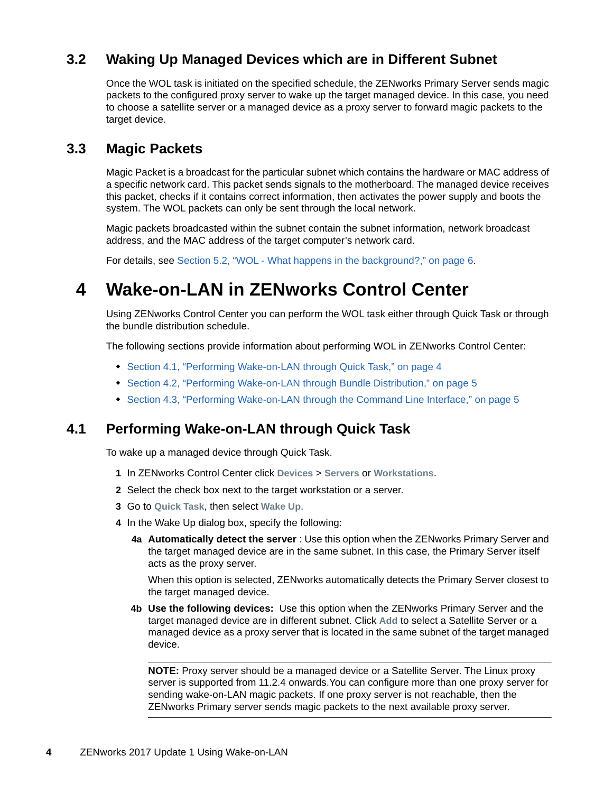## <span id="page-3-1"></span>**3.2 Waking Up Managed Devices which are in Different Subnet**

Once the WOL task is initiated on the specified schedule, the ZENworks Primary Server sends magic packets to the configured proxy server to wake up the target managed device. In this case, you need to choose a satellite server or a managed device as a proxy server to forward magic packets to the target device.

#### <span id="page-3-2"></span>**3.3 Magic Packets**

Magic Packet is a broadcast for the particular subnet which contains the hardware or MAC address of a specific network card. This packet sends signals to the motherboard. The managed device receives this packet, checks if it contains correct information, then activates the power supply and boots the system. The WOL packets can only be sent through the local network.

Magic packets broadcasted within the subnet contain the subnet information, network broadcast address, and the MAC address of the target computer's network card.

For details, see [Section 5.2, "WOL - What happens in the background?," on page 6.](#page-5-1)

## <span id="page-3-0"></span>**4 Wake-on-LAN in ZENworks Control Center**

Using ZENworks Control Center you can perform the WOL task either through Quick Task or through the bundle distribution schedule.

The following sections provide information about performing WOL in ZENworks Control Center:

- [Section 4.1, "Performing Wake-on-LAN through Quick Task," on page 4](#page-3-3)
- [Section 4.2, "Performing Wake-on-LAN through Bundle Distribution," on page 5](#page-4-0)
- [Section 4.3, "Performing Wake-on-LAN through the Command Line Interface," on page 5](#page-4-1)

#### <span id="page-3-3"></span>**4.1 Performing Wake-on-LAN through Quick Task**

To wake up a managed device through Quick Task.

- **1** In ZENworks Control Center click **Devices** > **Servers** or **Workstations**.
- **2** Select the check box next to the target workstation or a server.
- **3** Go to **Quick Task**, then select **Wake Up**.
- <span id="page-3-4"></span>**4** In the Wake Up dialog box, specify the following:
	- **4a Automatically detect the server** : Use this option when the ZENworks Primary Server and the target managed device are in the same subnet. In this case, the Primary Server itself acts as the proxy server.

When this option is selected, ZENworks automatically detects the Primary Server closest to the target managed device.

**4b Use the following devices:** Use this option when the ZENworks Primary Server and the target managed device are in different subnet. Click **Add** to select a Satellite Server or a managed device as a proxy server that is located in the same subnet of the target managed device.

**NOTE:** Proxy server should be a managed device or a Satellite Server. The Linux proxy server is supported from 11.2.4 onwards.You can configure more than one proxy server for sending wake-on-LAN magic packets. If one proxy server is not reachable, then the ZENworks Primary server sends magic packets to the next available proxy server.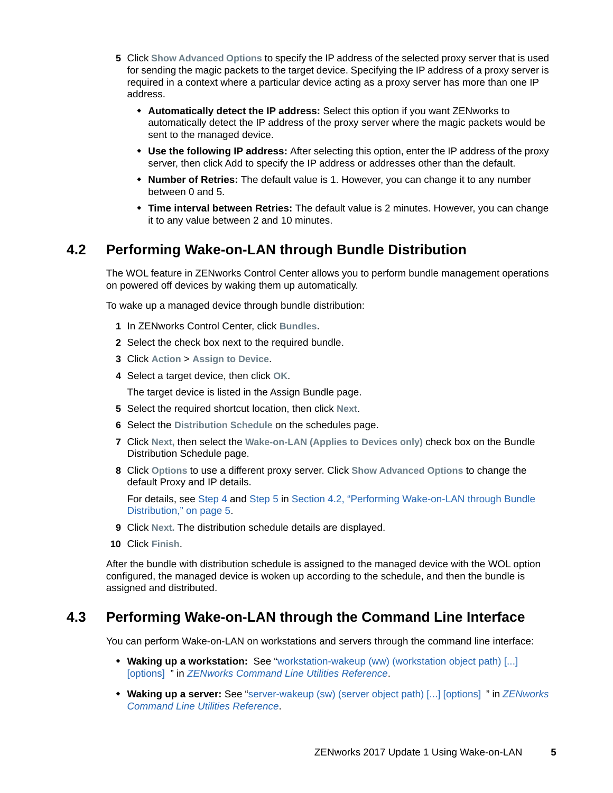- <span id="page-4-2"></span>**5** Click **Show Advanced Options** to specify the IP address of the selected proxy server that is used for sending the magic packets to the target device. Specifying the IP address of a proxy server is required in a context where a particular device acting as a proxy server has more than one IP address.
	- **Automatically detect the IP address:** Select this option if you want ZENworks to automatically detect the IP address of the proxy server where the magic packets would be sent to the managed device.
	- **Use the following IP address:** After selecting this option, enter the IP address of the proxy server, then click Add to specify the IP address or addresses other than the default.
	- **Number of Retries:** The default value is 1. However, you can change it to any number between 0 and 5.
	- **Time interval between Retries:** The default value is 2 minutes. However, you can change it to any value between 2 and 10 minutes.

### <span id="page-4-0"></span>**4.2 Performing Wake-on-LAN through Bundle Distribution**

The WOL feature in ZENworks Control Center allows you to perform bundle management operations on powered off devices by waking them up automatically.

To wake up a managed device through bundle distribution:

- **1** In ZENworks Control Center, click **Bundles**.
- **2** Select the check box next to the required bundle.
- **3** Click **Action** > **Assign to Device**.
- **4** Select a target device, then click **OK**.

The target device is listed in the Assign Bundle page.

- **5** Select the required shortcut location, then click **Next**.
- **6** Select the **Distribution Schedule** on the schedules page.
- **7** Click **Next,** then select the **Wake-on-LAN (Applies to Devices only)** check box on the Bundle Distribution Schedule page.
- **8** Click **Options** to use a different proxy server. Click **Show Advanced Options** to change the default Proxy and IP details.

For details, see [Step 4](#page-3-4) and [Step 5](#page-4-2) in [Section 4.2, "Performing Wake-on-LAN through Bundle](#page-4-0)  [Distribution," on page 5](#page-4-0).

- **9** Click **Next.** The distribution schedule details are displayed.
- **10** Click **Finish**.

After the bundle with distribution schedule is assigned to the managed device with the WOL option configured, the managed device is woken up according to the schedule, and then the bundle is assigned and distributed.

#### <span id="page-4-1"></span>**4.3 Performing Wake-on-LAN through the Command Line Interface**

You can perform Wake-on-LAN on workstations and servers through the command line interface:

- **Waking up a workstation:** See ["workstation-wakeup \(ww\) \(workstation object path\) \[...\]](https://www.novell.com/documentation/zenworks2017/pdfdoc/zen_utils/zen_utils.pdf#b9b81bd)  [options] " in *ZENworks Command Line Utilities Reference*.
- **Waking up a server:** See ["server-wakeup \(sw\) \(server object path\) \[...\] \[options\] "](https://www.novell.com/documentation/zenworks2017/pdfdoc/zen_utils/zen_utils.pdf#b9b7xwx) in *ZENworks Command Line Utilities Reference*.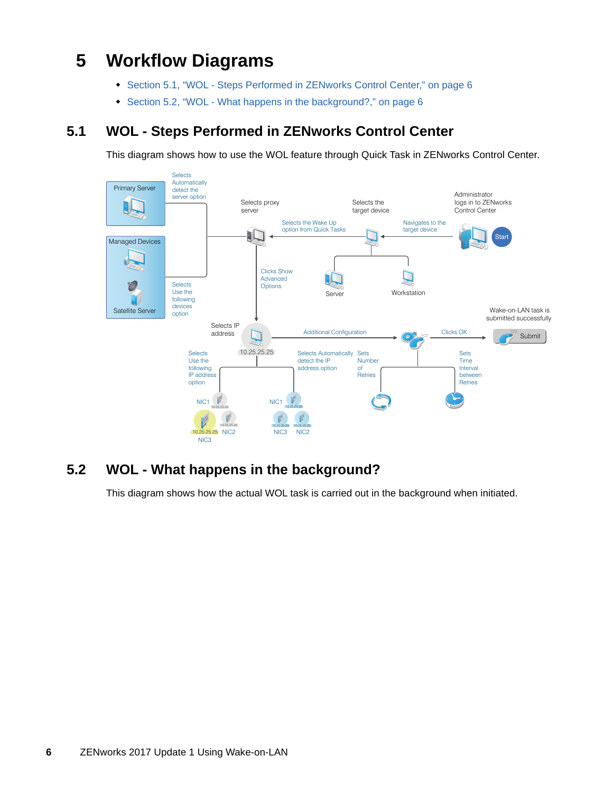# <span id="page-5-0"></span>**5 Workflow Diagrams**

- [Section 5.1, "WOL Steps Performed in ZENworks Control Center," on page 6](#page-5-2)
- [Section 5.2, "WOL What happens in the background?," on page 6](#page-5-1)

## <span id="page-5-2"></span>**5.1 WOL - Steps Performed in ZENworks Control Center**

This diagram shows how to use the WOL feature through Quick Task in ZENworks Control Center.



## <span id="page-5-1"></span>**5.2 WOL - What happens in the background?**

This diagram shows how the actual WOL task is carried out in the background when initiated.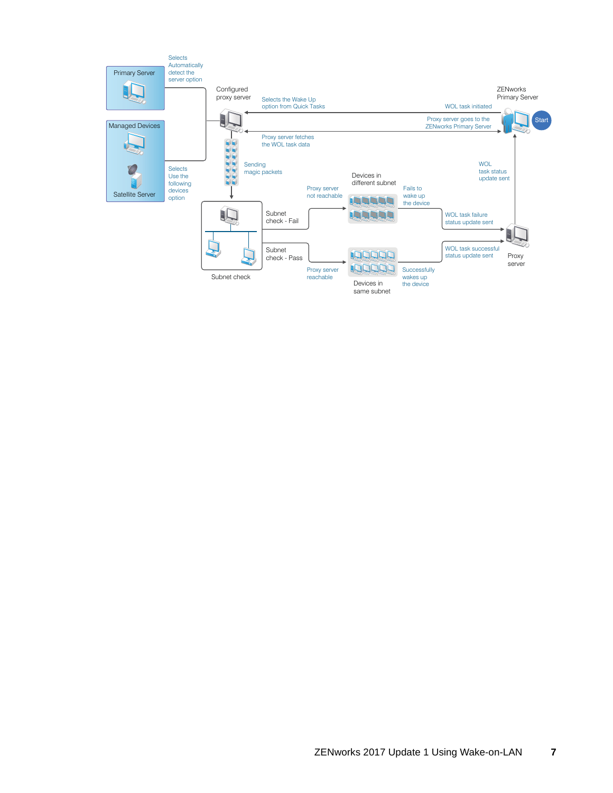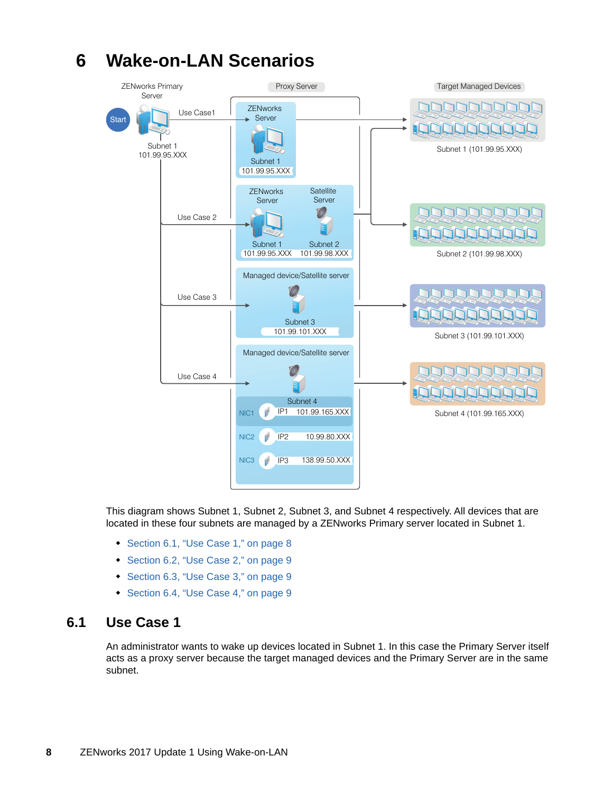

#### This diagram shows Subnet 1, Subnet 2, Subnet 3, and Subnet 4 respectively. All devices that are located in these four subnets are managed by a ZENworks Primary server located in Subnet 1.

- [Section 6.1, "Use Case 1," on page 8](#page-7-1)
- [Section 6.2, "Use Case 2," on page 9](#page-8-1)
- [Section 6.3, "Use Case 3," on page 9](#page-8-2)
- [Section 6.4, "Use Case 4," on page 9](#page-8-3)

#### <span id="page-7-1"></span>**6.1 Use Case 1**

An administrator wants to wake up devices located in Subnet 1. In this case the Primary Server itself acts as a proxy server because the target managed devices and the Primary Server are in the same subnet.

# <span id="page-7-0"></span>**6 Wake-on-LAN Scenarios**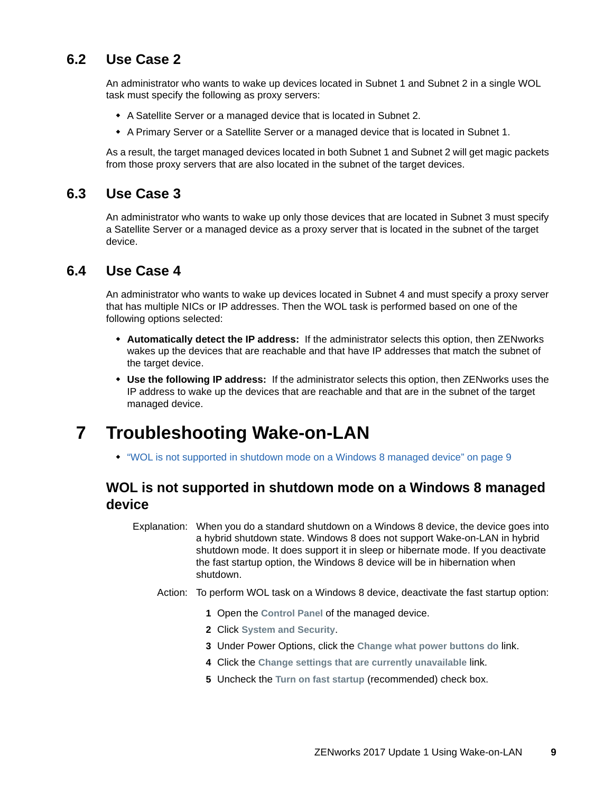### <span id="page-8-1"></span>**6.2 Use Case 2**

An administrator who wants to wake up devices located in Subnet 1 and Subnet 2 in a single WOL task must specify the following as proxy servers:

- A Satellite Server or a managed device that is located in Subnet 2.
- A Primary Server or a Satellite Server or a managed device that is located in Subnet 1.

As a result, the target managed devices located in both Subnet 1 and Subnet 2 will get magic packets from those proxy servers that are also located in the subnet of the target devices.

### <span id="page-8-2"></span>**6.3 Use Case 3**

An administrator who wants to wake up only those devices that are located in Subnet 3 must specify a Satellite Server or a managed device as a proxy server that is located in the subnet of the target device.

#### <span id="page-8-3"></span>**6.4 Use Case 4**

An administrator who wants to wake up devices located in Subnet 4 and must specify a proxy server that has multiple NICs or IP addresses. Then the WOL task is performed based on one of the following options selected:

- **Automatically detect the IP address:** If the administrator selects this option, then ZENworks wakes up the devices that are reachable and that have IP addresses that match the subnet of the target device.
- **Use the following IP address:** If the administrator selects this option, then ZENworks uses the IP address to wake up the devices that are reachable and that are in the subnet of the target managed device.

# <span id="page-8-0"></span>**7 Troubleshooting Wake-on-LAN**

["WOL is not supported in shutdown mode on a Windows 8 managed device" on page 9](#page-8-4)

### <span id="page-8-4"></span>**WOL is not supported in shutdown mode on a Windows 8 managed device**

Explanation: When you do a standard shutdown on a Windows 8 device, the device goes into a hybrid shutdown state. Windows 8 does not support Wake-on-LAN in hybrid shutdown mode. It does support it in sleep or hibernate mode. If you deactivate the fast startup option, the Windows 8 device will be in hibernation when shutdown.

- Action: To perform WOL task on a Windows 8 device, deactivate the fast startup option:
	- **1** Open the **Control Panel** of the managed device.
	- **2** Click **System and Security**.
	- **3** Under Power Options, click the **Change what power buttons do** link.
	- **4** Click the **Change settings that are currently unavailable** link.
	- **5** Uncheck the **Turn on fast startup** (recommended) check box.